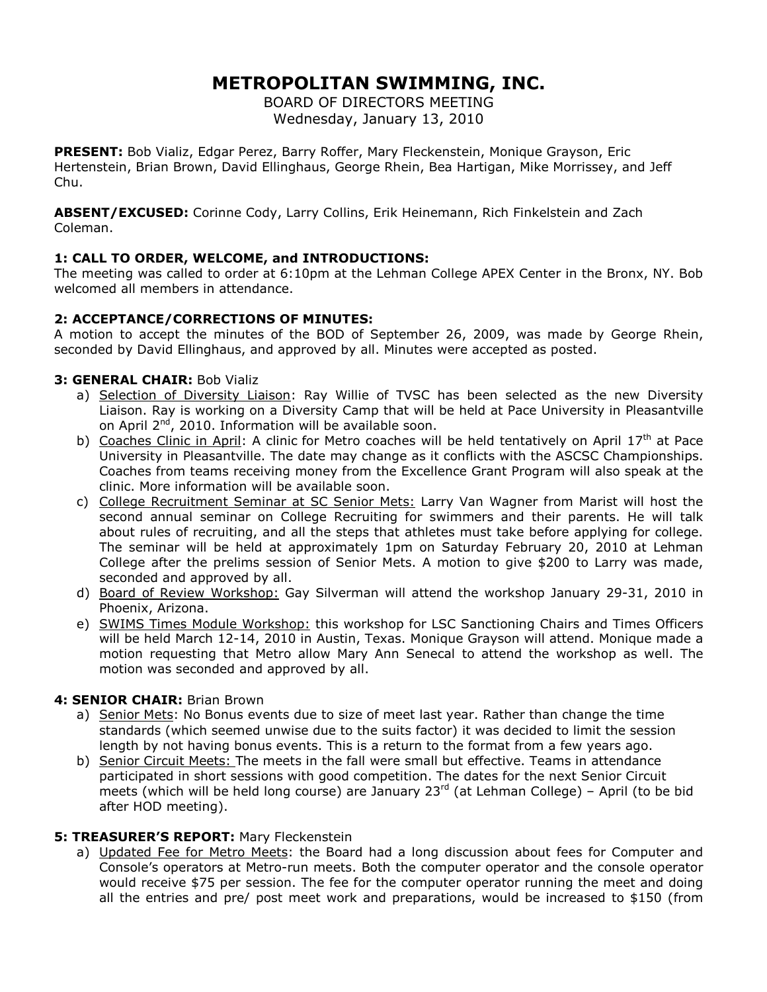# **METROPOLITAN SWIMMING, INC.**

BOARD OF DIRECTORS MEETING Wednesday, January 13, 2010

**PRESENT:** Bob Vializ, Edgar Perez, Barry Roffer, Mary Fleckenstein, Monique Grayson, Eric Hertenstein, Brian Brown, David Ellinghaus, George Rhein, Bea Hartigan, Mike Morrissey, and Jeff Chu.

**ABSENT/EXCUSED:** Corinne Cody, Larry Collins, Erik Heinemann, Rich Finkelstein and Zach Coleman.

# **1: CALL TO ORDER, WELCOME, and INTRODUCTIONS:**

The meeting was called to order at 6:10pm at the Lehman College APEX Center in the Bronx, NY. Bob welcomed all members in attendance.

# **2: ACCEPTANCE/CORRECTIONS OF MINUTES:**

A motion to accept the minutes of the BOD of September 26, 2009, was made by George Rhein, seconded by David Ellinghaus, and approved by all. Minutes were accepted as posted.

# **3: GENERAL CHAIR:** Bob Vializ

- a) Selection of Diversity Liaison: Ray Willie of TVSC has been selected as the new Diversity Liaison. Ray is working on a Diversity Camp that will be held at Pace University in Pleasantville on April  $2^{nd}$ , 2010. Information will be available soon.
- b) Coaches Clinic in April: A clinic for Metro coaches will be held tentatively on April 17<sup>th</sup> at Pace University in Pleasantville. The date may change as it conflicts with the ASCSC Championships. Coaches from teams receiving money from the Excellence Grant Program will also speak at the clinic. More information will be available soon.
- c) College Recruitment Seminar at SC Senior Mets: Larry Van Wagner from Marist will host the second annual seminar on College Recruiting for swimmers and their parents. He will talk about rules of recruiting, and all the steps that athletes must take before applying for college. The seminar will be held at approximately 1pm on Saturday February 20, 2010 at Lehman College after the prelims session of Senior Mets. A motion to give \$200 to Larry was made, seconded and approved by all.
- d) Board of Review Workshop: Gay Silverman will attend the workshop January 29-31, 2010 in Phoenix, Arizona.
- e) SWIMS Times Module Workshop: this workshop for LSC Sanctioning Chairs and Times Officers will be held March 12-14, 2010 in Austin, Texas. Monique Grayson will attend. Monique made a motion requesting that Metro allow Mary Ann Senecal to attend the workshop as well. The motion was seconded and approved by all.

# **4: SENIOR CHAIR:** Brian Brown

- a) Senior Mets: No Bonus events due to size of meet last year. Rather than change the time standards (which seemed unwise due to the suits factor) it was decided to limit the session length by not having bonus events. This is a return to the format from a few years ago.
- b) Senior Circuit Meets: The meets in the fall were small but effective. Teams in attendance participated in short sessions with good competition. The dates for the next Senior Circuit meets (which will be held long course) are January  $23<sup>rd</sup>$  (at Lehman College) – April (to be bid after HOD meeting).

# **5: TREASURER'S REPORT:** Mary Fleckenstein

a) Updated Fee for Metro Meets: the Board had a long discussion about fees for Computer and Console's operators at Metro-run meets. Both the computer operator and the console operator would receive \$75 per session. The fee for the computer operator running the meet and doing all the entries and pre/ post meet work and preparations, would be increased to \$150 (from